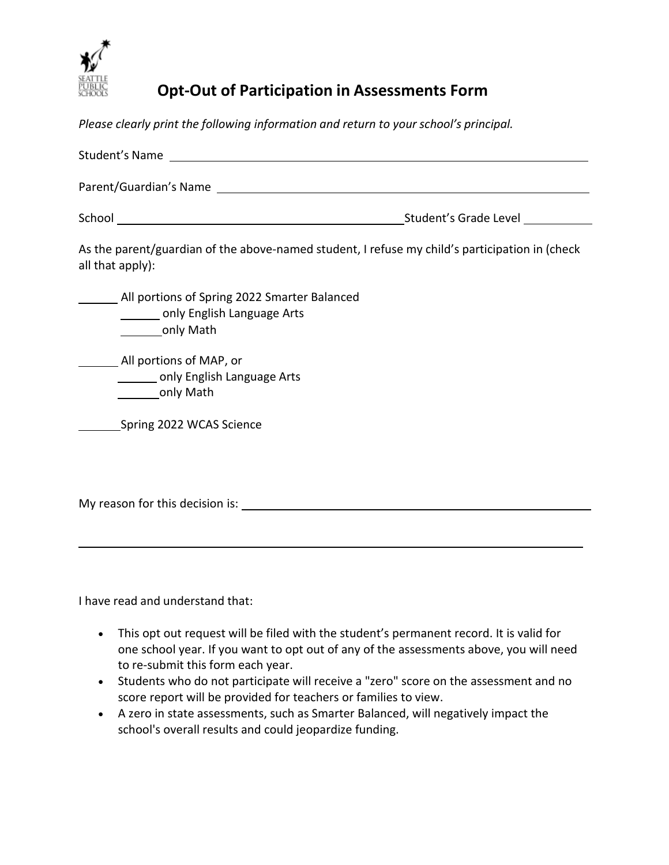

## **Opt-Out of Participation in Assessments Form**

*Please clearly print the following information and return to your school's principal.*

| As the parent/guardian of the above-named student, I refuse my child's participation in (check<br>all that apply):                                                                                                            |  |
|-------------------------------------------------------------------------------------------------------------------------------------------------------------------------------------------------------------------------------|--|
| All portions of Spring 2022 Smarter Balanced<br>_______ only English Language Arts<br>only Math                                                                                                                               |  |
| All portions of MAP, or<br>________ only English Language Arts<br>only Math                                                                                                                                                   |  |
| Spring 2022 WCAS Science                                                                                                                                                                                                      |  |
| My reason for this decision is: Notifiantly and the matter of the state of the state of the state of the state of the state of the state of the state of the state of the state of the state of the state of the state of the |  |

I have read and understand that:

- This opt out request will be filed with the student's permanent record. It is valid for one school year. If you want to opt out of any of the assessments above, you will need to re-submit this form each year.
- Students who do not participate will receive a "zero" score on the assessment and no score report will be provided for teachers or families to view.
- A zero in state assessments, such as Smarter Balanced, will negatively impact the school's overall results and could jeopardize funding.